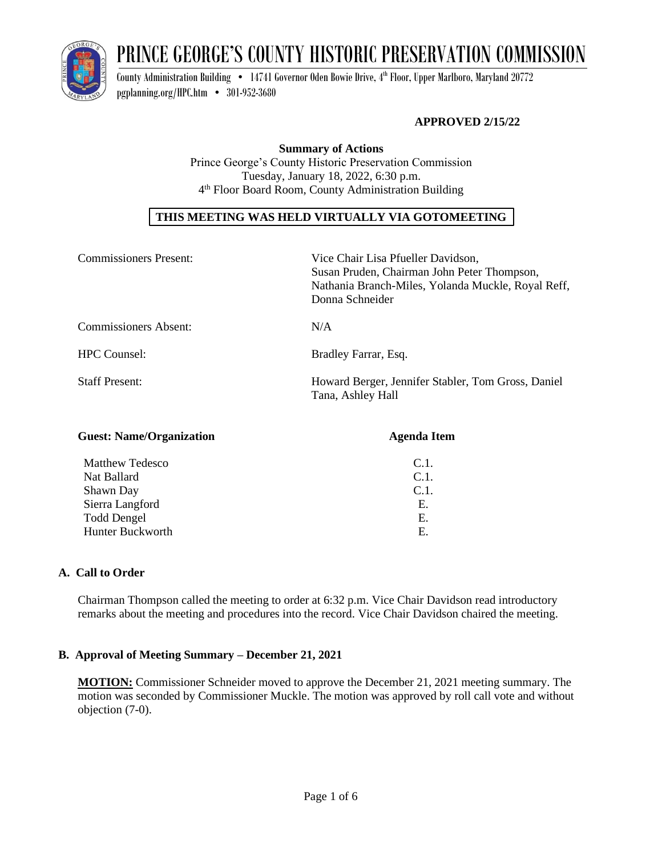

# PRINCE GEORGE'S COUNTY HISTORIC PRESERVATION COMMISSION

County Administration Building  $\bullet$   $\,$  14741 Governor Oden Bowie Drive, 4th Floor, Upper Marlboro, Maryland 20772 [pgplanning.org/HPC.htm](http://www.pgplanning.org/HPC.htm) • 301-952-3680

## **APPROVED 2/15/22**

**Summary of Actions** Prince George's County Historic Preservation Commission Tuesday, January 18, 2022, 6:30 p.m. 4 th Floor Board Room, County Administration Building

# **THIS MEETING WAS HELD VIRTUALLY VIA GOTOMEETING**

| <b>Commissioners Present:</b> | Vice Chair Lisa Pfueller Davidson,<br>Susan Pruden, Chairman John Peter Thompson,<br>Nathania Branch-Miles, Yolanda Muckle, Royal Reff,<br>Donna Schneider |
|-------------------------------|------------------------------------------------------------------------------------------------------------------------------------------------------------|
| <b>Commissioners Absent:</b>  | N/A                                                                                                                                                        |
| <b>HPC</b> Counsel:           | Bradley Farrar, Esq.                                                                                                                                       |
| <b>Staff Present:</b>         | Howard Berger, Jennifer Stabler, Tom Gross, Daniel<br>Tana, Ashley Hall                                                                                    |
|                               |                                                                                                                                                            |

| <b>Guest: Name/Organization</b> | <b>Agenda Item</b> |
|---------------------------------|--------------------|
| <b>Matthew Tedesco</b>          | $C.1$ .            |
| Nat Ballard                     | $C.1$ .            |
| Shawn Day                       | $C.1$ .            |
| Sierra Langford                 | Ε.                 |
| <b>Todd Dengel</b>              | Е.                 |
| Hunter Buckworth                | Е.                 |

## **A. Call to Order**

Chairman Thompson called the meeting to order at 6:32 p.m. Vice Chair Davidson read introductory remarks about the meeting and procedures into the record. Vice Chair Davidson chaired the meeting.

## **B. Approval of Meeting Summary – December 21, 2021**

**MOTION:** Commissioner Schneider moved to approve the December 21, 2021 meeting summary. The motion was seconded by Commissioner Muckle. The motion was approved by roll call vote and without objection (7-0).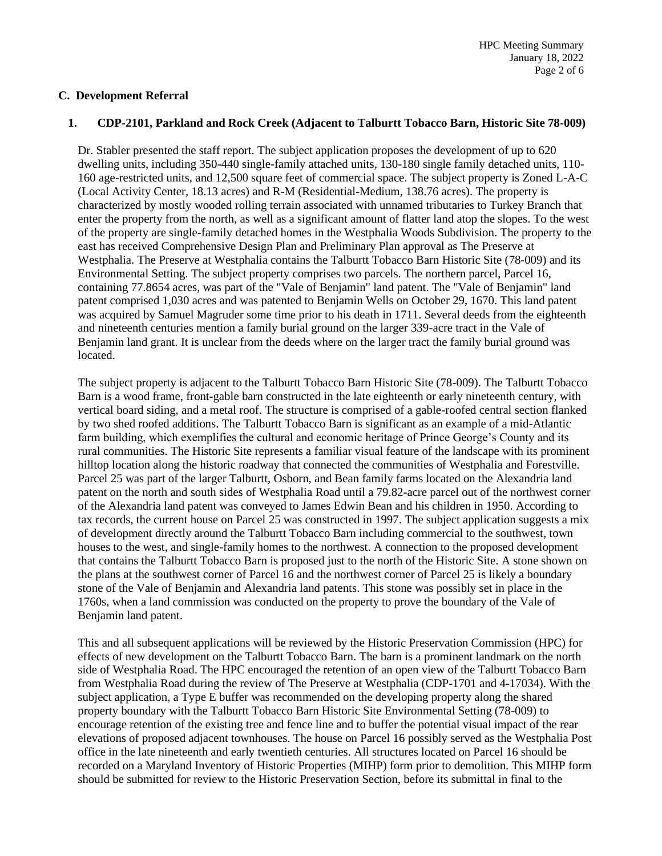## **C. Development Referral**

#### **1. CDP-2101, Parkland and Rock Creek (Adjacent to Talburtt Tobacco Barn, Historic Site 78-009)**

Dr. Stabler presented the staff report. The subject application proposes the development of up to 620 dwelling units, including 350-440 single-family attached units, 130-180 single family detached units, 110- 160 age-restricted units, and 12,500 square feet of commercial space. The subject property is Zoned L-A-C (Local Activity Center, 18.13 acres) and R-M (Residential-Medium, 138.76 acres). The property is characterized by mostly wooded rolling terrain associated with unnamed tributaries to Turkey Branch that enter the property from the north, as well as a significant amount of flatter land atop the slopes. To the west of the property are single-family detached homes in the Westphalia Woods Subdivision. The property to the east has received Comprehensive Design Plan and Preliminary Plan approval as The Preserve at Westphalia. The Preserve at Westphalia contains the Talburtt Tobacco Barn Historic Site (78-009) and its Environmental Setting. The subject property comprises two parcels. The northern parcel, Parcel 16, containing 77.8654 acres, was part of the "Vale of Benjamin" land patent. The "Vale of Benjamin" land patent comprised 1,030 acres and was patented to Benjamin Wells on October 29, 1670. This land patent was acquired by Samuel Magruder some time prior to his death in 1711. Several deeds from the eighteenth and nineteenth centuries mention a family burial ground on the larger 339-acre tract in the Vale of Benjamin land grant. It is unclear from the deeds where on the larger tract the family burial ground was located.

The subject property is adjacent to the Talburtt Tobacco Barn Historic Site (78-009). The Talburtt Tobacco Barn is a wood frame, front-gable barn constructed in the late eighteenth or early nineteenth century, with vertical board siding, and a metal roof. The structure is comprised of a gable-roofed central section flanked by two shed roofed additions. The Talburtt Tobacco Barn is significant as an example of a mid-Atlantic farm building, which exemplifies the cultural and economic heritage of Prince George's County and its rural communities. The Historic Site represents a familiar visual feature of the landscape with its prominent hilltop location along the historic roadway that connected the communities of Westphalia and Forestville. Parcel 25 was part of the larger Talburtt, Osborn, and Bean family farms located on the Alexandria land patent on the north and south sides of Westphalia Road until a 79.82-acre parcel out of the northwest corner of the Alexandria land patent was conveyed to James Edwin Bean and his children in 1950. According to tax records, the current house on Parcel 25 was constructed in 1997. The subject application suggests a mix of development directly around the Talburtt Tobacco Barn including commercial to the southwest, town houses to the west, and single-family homes to the northwest. A connection to the proposed development that contains the Talburtt Tobacco Barn is proposed just to the north of the Historic Site. A stone shown on the plans at the southwest corner of Parcel 16 and the northwest corner of Parcel 25 is likely a boundary stone of the Vale of Benjamin and Alexandria land patents. This stone was possibly set in place in the 1760s, when a land commission was conducted on the property to prove the boundary of the Vale of Benjamin land patent.

This and all subsequent applications will be reviewed by the Historic Preservation Commission (HPC) for effects of new development on the Talburtt Tobacco Barn. The barn is a prominent landmark on the north side of Westphalia Road. The HPC encouraged the retention of an open view of the Talburtt Tobacco Barn from Westphalia Road during the review of The Preserve at Westphalia (CDP-1701 and 4-17034). With the subject application, a Type E buffer was recommended on the developing property along the shared property boundary with the Talburtt Tobacco Barn Historic Site Environmental Setting (78-009) to encourage retention of the existing tree and fence line and to buffer the potential visual impact of the rear elevations of proposed adjacent townhouses. The house on Parcel 16 possibly served as the Westphalia Post office in the late nineteenth and early twentieth centuries. All structures located on Parcel 16 should be recorded on a Maryland Inventory of Historic Properties (MIHP) form prior to demolition. This MIHP form should be submitted for review to the Historic Preservation Section, before its submittal in final to the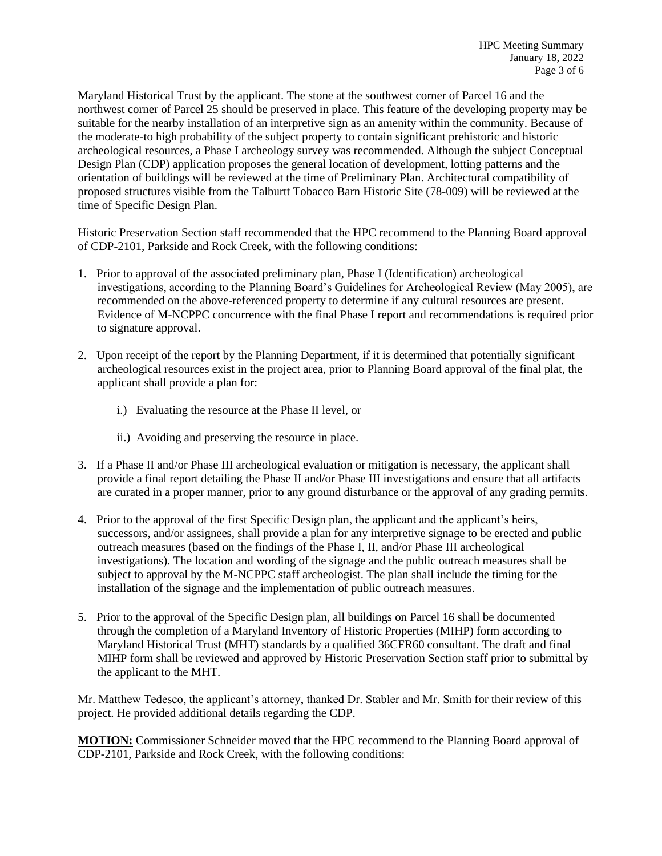Maryland Historical Trust by the applicant. The stone at the southwest corner of Parcel 16 and the northwest corner of Parcel 25 should be preserved in place. This feature of the developing property may be suitable for the nearby installation of an interpretive sign as an amenity within the community. Because of the moderate-to high probability of the subject property to contain significant prehistoric and historic archeological resources, a Phase I archeology survey was recommended. Although the subject Conceptual Design Plan (CDP) application proposes the general location of development, lotting patterns and the orientation of buildings will be reviewed at the time of Preliminary Plan. Architectural compatibility of proposed structures visible from the Talburtt Tobacco Barn Historic Site (78-009) will be reviewed at the time of Specific Design Plan.

Historic Preservation Section staff recommended that the HPC recommend to the Planning Board approval of CDP-2101, Parkside and Rock Creek, with the following conditions:

- 1. Prior to approval of the associated preliminary plan, Phase I (Identification) archeological investigations, according to the Planning Board's Guidelines for Archeological Review (May 2005), are recommended on the above-referenced property to determine if any cultural resources are present. Evidence of M-NCPPC concurrence with the final Phase I report and recommendations is required prior to signature approval.
- 2. Upon receipt of the report by the Planning Department, if it is determined that potentially significant archeological resources exist in the project area, prior to Planning Board approval of the final plat, the applicant shall provide a plan for:
	- i.) Evaluating the resource at the Phase II level, or
	- ii.) Avoiding and preserving the resource in place.
- 3. If a Phase II and/or Phase III archeological evaluation or mitigation is necessary, the applicant shall provide a final report detailing the Phase II and/or Phase III investigations and ensure that all artifacts are curated in a proper manner, prior to any ground disturbance or the approval of any grading permits.
- 4. Prior to the approval of the first Specific Design plan, the applicant and the applicant's heirs, successors, and/or assignees, shall provide a plan for any interpretive signage to be erected and public outreach measures (based on the findings of the Phase I, II, and/or Phase III archeological investigations). The location and wording of the signage and the public outreach measures shall be subject to approval by the M-NCPPC staff archeologist. The plan shall include the timing for the installation of the signage and the implementation of public outreach measures.
- 5. Prior to the approval of the Specific Design plan, all buildings on Parcel 16 shall be documented through the completion of a Maryland Inventory of Historic Properties (MIHP) form according to Maryland Historical Trust (MHT) standards by a qualified 36CFR60 consultant. The draft and final MIHP form shall be reviewed and approved by Historic Preservation Section staff prior to submittal by the applicant to the MHT.

Mr. Matthew Tedesco, the applicant's attorney, thanked Dr. Stabler and Mr. Smith for their review of this project. He provided additional details regarding the CDP.

**MOTION:** Commissioner Schneider moved that the HPC recommend to the Planning Board approval of CDP-2101, Parkside and Rock Creek, with the following conditions: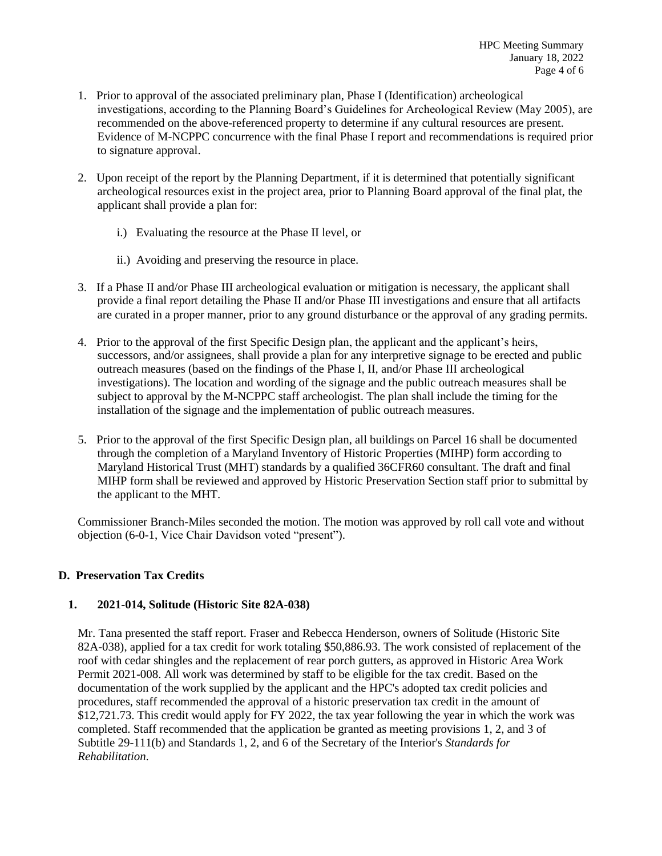- 1. Prior to approval of the associated preliminary plan, Phase I (Identification) archeological investigations, according to the Planning Board's Guidelines for Archeological Review (May 2005), are recommended on the above-referenced property to determine if any cultural resources are present. Evidence of M-NCPPC concurrence with the final Phase I report and recommendations is required prior to signature approval.
- 2. Upon receipt of the report by the Planning Department, if it is determined that potentially significant archeological resources exist in the project area, prior to Planning Board approval of the final plat, the applicant shall provide a plan for:
	- i.) Evaluating the resource at the Phase II level, or
	- ii.) Avoiding and preserving the resource in place.
- 3. If a Phase II and/or Phase III archeological evaluation or mitigation is necessary, the applicant shall provide a final report detailing the Phase II and/or Phase III investigations and ensure that all artifacts are curated in a proper manner, prior to any ground disturbance or the approval of any grading permits.
- 4. Prior to the approval of the first Specific Design plan, the applicant and the applicant's heirs, successors, and/or assignees, shall provide a plan for any interpretive signage to be erected and public outreach measures (based on the findings of the Phase I, II, and/or Phase III archeological investigations). The location and wording of the signage and the public outreach measures shall be subject to approval by the M-NCPPC staff archeologist. The plan shall include the timing for the installation of the signage and the implementation of public outreach measures.
- 5. Prior to the approval of the first Specific Design plan, all buildings on Parcel 16 shall be documented through the completion of a Maryland Inventory of Historic Properties (MIHP) form according to Maryland Historical Trust (MHT) standards by a qualified 36CFR60 consultant. The draft and final MIHP form shall be reviewed and approved by Historic Preservation Section staff prior to submittal by the applicant to the MHT.

Commissioner Branch-Miles seconded the motion. The motion was approved by roll call vote and without objection (6-0-1, Vice Chair Davidson voted "present").

## **D. Preservation Tax Credits**

## **1. 2021-014, Solitude (Historic Site 82A-038)**

Mr. Tana presented the staff report. Fraser and Rebecca Henderson, owners of Solitude (Historic Site 82A-038), applied for a tax credit for work totaling \$50,886.93. The work consisted of replacement of the roof with cedar shingles and the replacement of rear porch gutters, as approved in Historic Area Work Permit 2021-008. All work was determined by staff to be eligible for the tax credit. Based on the documentation of the work supplied by the applicant and the HPC's adopted tax credit policies and procedures, staff recommended the approval of a historic preservation tax credit in the amount of \$12,721.73. This credit would apply for FY 2022, the tax year following the year in which the work was completed. Staff recommended that the application be granted as meeting provisions 1, 2, and 3 of Subtitle 29-111(b) and Standards 1, 2, and 6 of the Secretary of the Interior's *Standards for Rehabilitation*.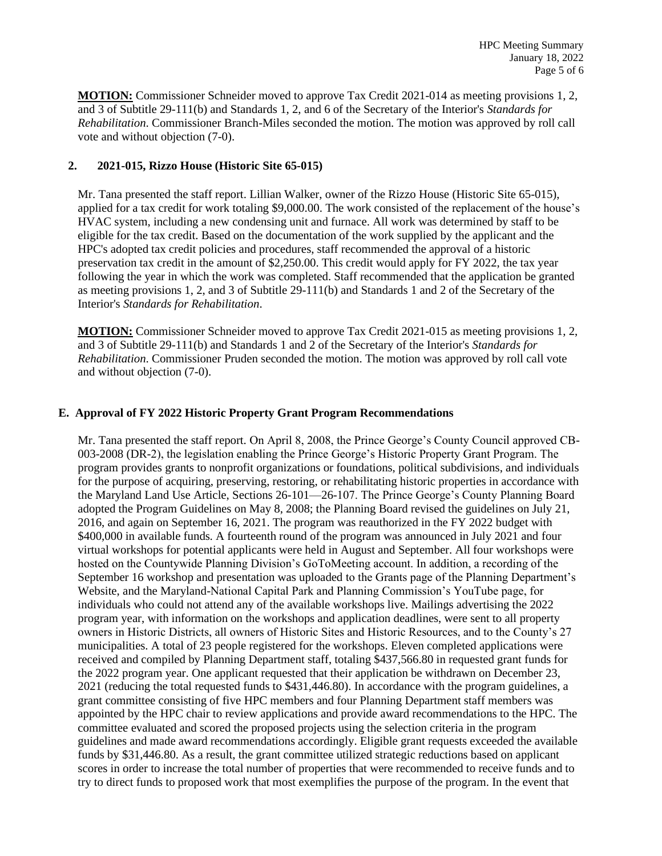**MOTION:** Commissioner Schneider moved to approve Tax Credit 2021-014 as meeting provisions 1, 2, and 3 of Subtitle 29-111(b) and Standards 1, 2, and 6 of the Secretary of the Interior's *Standards for Rehabilitation*. Commissioner Branch-Miles seconded the motion. The motion was approved by roll call vote and without objection (7-0).

## **2. 2021-015, Rizzo House (Historic Site 65-015)**

Mr. Tana presented the staff report. Lillian Walker, owner of the Rizzo House (Historic Site 65-015), applied for a tax credit for work totaling \$9,000.00. The work consisted of the replacement of the house's HVAC system, including a new condensing unit and furnace. All work was determined by staff to be eligible for the tax credit. Based on the documentation of the work supplied by the applicant and the HPC's adopted tax credit policies and procedures, staff recommended the approval of a historic preservation tax credit in the amount of \$2,250.00. This credit would apply for FY 2022, the tax year following the year in which the work was completed. Staff recommended that the application be granted as meeting provisions 1, 2, and 3 of Subtitle 29-111(b) and Standards 1 and 2 of the Secretary of the Interior's *Standards for Rehabilitation*.

**MOTION:** Commissioner Schneider moved to approve Tax Credit 2021-015 as meeting provisions 1, 2, and 3 of Subtitle 29-111(b) and Standards 1 and 2 of the Secretary of the Interior's *Standards for Rehabilitation*. Commissioner Pruden seconded the motion. The motion was approved by roll call vote and without objection (7-0).

## **E. Approval of FY 2022 Historic Property Grant Program Recommendations**

Mr. Tana presented the staff report. On April 8, 2008, the Prince George's County Council approved CB-003-2008 (DR-2), the legislation enabling the Prince George's Historic Property Grant Program. The program provides grants to nonprofit organizations or foundations, political subdivisions, and individuals for the purpose of acquiring, preserving, restoring, or rehabilitating historic properties in accordance with the Maryland Land Use Article, Sections 26-101—26-107. The Prince George's County Planning Board adopted the Program Guidelines on May 8, 2008; the Planning Board revised the guidelines on July 21, 2016, and again on September 16, 2021. The program was reauthorized in the FY 2022 budget with \$400,000 in available funds. A fourteenth round of the program was announced in July 2021 and four virtual workshops for potential applicants were held in August and September. All four workshops were hosted on the Countywide Planning Division's GoToMeeting account. In addition, a recording of the September 16 workshop and presentation was uploaded to the Grants page of the Planning Department's Website, and the Maryland-National Capital Park and Planning Commission's YouTube page, for individuals who could not attend any of the available workshops live. Mailings advertising the 2022 program year, with information on the workshops and application deadlines, were sent to all property owners in Historic Districts, all owners of Historic Sites and Historic Resources, and to the County's 27 municipalities. A total of 23 people registered for the workshops. Eleven completed applications were received and compiled by Planning Department staff, totaling \$437,566.80 in requested grant funds for the 2022 program year. One applicant requested that their application be withdrawn on December 23, 2021 (reducing the total requested funds to \$431,446.80). In accordance with the program guidelines, a grant committee consisting of five HPC members and four Planning Department staff members was appointed by the HPC chair to review applications and provide award recommendations to the HPC. The committee evaluated and scored the proposed projects using the selection criteria in the program guidelines and made award recommendations accordingly. Eligible grant requests exceeded the available funds by \$31,446.80. As a result, the grant committee utilized strategic reductions based on applicant scores in order to increase the total number of properties that were recommended to receive funds and to try to direct funds to proposed work that most exemplifies the purpose of the program. In the event that